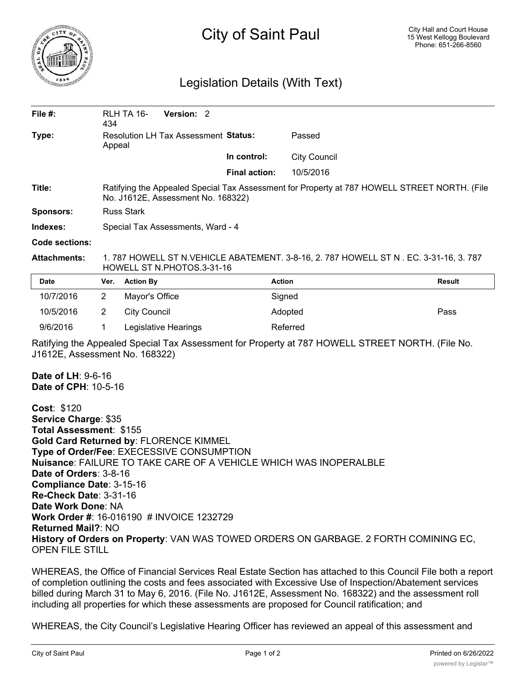

## City of Saint Paul

## Legislation Details (With Text)

| File $#$ :                                                                                                                                                                                                                                                                                                                                                                                                                                                                                                                          | 434                                                                                                                                | Version: 2<br>RLH TA 16-                    |                      |                     |               |
|-------------------------------------------------------------------------------------------------------------------------------------------------------------------------------------------------------------------------------------------------------------------------------------------------------------------------------------------------------------------------------------------------------------------------------------------------------------------------------------------------------------------------------------|------------------------------------------------------------------------------------------------------------------------------------|---------------------------------------------|----------------------|---------------------|---------------|
| Type:                                                                                                                                                                                                                                                                                                                                                                                                                                                                                                                               | Appeal                                                                                                                             | <b>Resolution LH Tax Assessment Status:</b> |                      | Passed              |               |
|                                                                                                                                                                                                                                                                                                                                                                                                                                                                                                                                     |                                                                                                                                    |                                             | In control:          | <b>City Council</b> |               |
|                                                                                                                                                                                                                                                                                                                                                                                                                                                                                                                                     |                                                                                                                                    |                                             | <b>Final action:</b> | 10/5/2016           |               |
| Title:                                                                                                                                                                                                                                                                                                                                                                                                                                                                                                                              | Ratifying the Appealed Special Tax Assessment for Property at 787 HOWELL STREET NORTH. (File<br>No. J1612E, Assessment No. 168322) |                                             |                      |                     |               |
| <b>Sponsors:</b>                                                                                                                                                                                                                                                                                                                                                                                                                                                                                                                    | <b>Russ Stark</b>                                                                                                                  |                                             |                      |                     |               |
| Indexes:                                                                                                                                                                                                                                                                                                                                                                                                                                                                                                                            | Special Tax Assessments, Ward - 4                                                                                                  |                                             |                      |                     |               |
| <b>Code sections:</b>                                                                                                                                                                                                                                                                                                                                                                                                                                                                                                               |                                                                                                                                    |                                             |                      |                     |               |
| <b>Attachments:</b>                                                                                                                                                                                                                                                                                                                                                                                                                                                                                                                 | 1. 787 HOWELL ST N. VEHICLE ABATEMENT. 3-8-16, 2. 787 HOWELL ST N. EC. 3-31-16, 3. 787<br>HOWELL ST N.PHOTOS.3-31-16               |                                             |                      |                     |               |
| <b>Date</b>                                                                                                                                                                                                                                                                                                                                                                                                                                                                                                                         | Ver.                                                                                                                               | <b>Action By</b>                            |                      | <b>Action</b>       | <b>Result</b> |
| 10/7/2016                                                                                                                                                                                                                                                                                                                                                                                                                                                                                                                           | 2                                                                                                                                  | Mayor's Office                              |                      | Signed              |               |
| 10/5/2016                                                                                                                                                                                                                                                                                                                                                                                                                                                                                                                           | $\overline{2}$                                                                                                                     | <b>City Council</b>                         |                      | Adopted             | Pass          |
| 9/6/2016                                                                                                                                                                                                                                                                                                                                                                                                                                                                                                                            | 1                                                                                                                                  | Legislative Hearings                        |                      | Referred            |               |
| Ratifying the Appealed Special Tax Assessment for Property at 787 HOWELL STREET NORTH. (File No.<br>J1612E, Assessment No. 168322)                                                                                                                                                                                                                                                                                                                                                                                                  |                                                                                                                                    |                                             |                      |                     |               |
| <b>Date of LH: 9-6-16</b><br>Date of CPH: 10-5-16                                                                                                                                                                                                                                                                                                                                                                                                                                                                                   |                                                                                                                                    |                                             |                      |                     |               |
| Cost: \$120<br>Service Charge: \$35<br>Total Assessment: \$155<br>Gold Card Returned by: FLORENCE KIMMEL<br>Type of Order/Fee: EXECESSIVE CONSUMPTION<br>Nuisance: FAILURE TO TAKE CARE OF A VEHICLE WHICH WAS INOPERALBLE<br>Date of Orders: 3-8-16<br>Compliance Date: 3-15-16<br><b>Re-Check Date: 3-31-16</b><br>Date Work Done: NA<br>Work Order #: 16-016190 # INVOICE 1232729<br><b>Returned Mail?: NO</b><br>History of Orders on Property: VAN WAS TOWED ORDERS ON GARBAGE. 2 FORTH COMINING EC,<br><b>OPEN FILE STILL</b> |                                                                                                                                    |                                             |                      |                     |               |

WHEREAS, the Office of Financial Services Real Estate Section has attached to this Council File both a report of completion outlining the costs and fees associated with Excessive Use of Inspection/Abatement services billed during March 31 to May 6, 2016. (File No. J1612E, Assessment No. 168322) and the assessment roll including all properties for which these assessments are proposed for Council ratification; and

WHEREAS, the City Council's Legislative Hearing Officer has reviewed an appeal of this assessment and